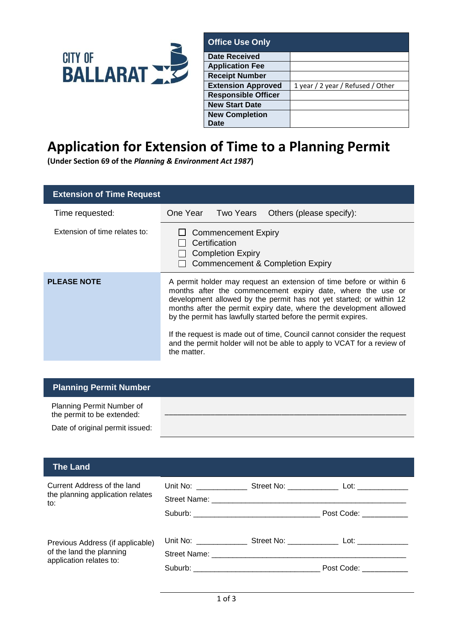

| <b>Office Use Only</b>        |                                   |  |
|-------------------------------|-----------------------------------|--|
| <b>Date Received</b>          |                                   |  |
| <b>Application Fee</b>        |                                   |  |
| <b>Receipt Number</b>         |                                   |  |
| <b>Extension Approved</b>     | 1 year / 2 year / Refused / Other |  |
| <b>Responsible Officer</b>    |                                   |  |
| <b>New Start Date</b>         |                                   |  |
| <b>New Completion</b><br>Date |                                   |  |

## **Application for Extension of Time to a Planning Permit**

**(Under Section 69 of the** *Planning & Environment Act 1987***)**

| <b>Extension of Time Request</b> |                                                                                                                                                                                                                                                                                                                                                  |  |
|----------------------------------|--------------------------------------------------------------------------------------------------------------------------------------------------------------------------------------------------------------------------------------------------------------------------------------------------------------------------------------------------|--|
| Time requested:                  | One Year Two Years Others (please specify):                                                                                                                                                                                                                                                                                                      |  |
| Extension of time relates to:    | $\Box$ Commencement Expiry<br>Certification<br><b>Completion Expiry</b><br>Commencement & Completion Expiry                                                                                                                                                                                                                                      |  |
| <b>PLEASE NOTE</b>               | A permit holder may request an extension of time before or within 6<br>months after the commencement expiry date, where the use or<br>development allowed by the permit has not yet started; or within 12<br>months after the permit expiry date, where the development allowed<br>by the permit has lawfully started before the permit expires. |  |
|                                  | If the request is made out of time, Council cannot consider the request<br>and the permit holder will not be able to apply to VCAT for a review of<br>the matter.                                                                                                                                                                                |  |

| <b>Planning Permit Number</b>                           |
|---------------------------------------------------------|
| Planning Permit Number of<br>the permit to be extended: |
| Date of original permit issued:                         |

| Current Address of the land<br>the planning application relates<br>$\mathsf{to}:$       |  | Post Code: ___________         |
|-----------------------------------------------------------------------------------------|--|--------------------------------|
| Previous Address (if applicable)<br>of the land the planning<br>application relates to: |  | Post Code: National Post Code: |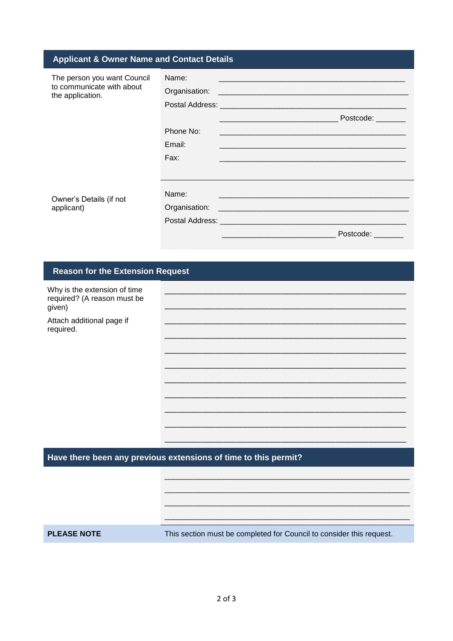| <b>Applicant &amp; Owner Name and Contact Details</b>                        |                                      |                                                                                                                                                                                                                                                               |
|------------------------------------------------------------------------------|--------------------------------------|---------------------------------------------------------------------------------------------------------------------------------------------------------------------------------------------------------------------------------------------------------------|
| The person you want Council<br>to communicate with about<br>the application. | Name:<br>Phone No:<br>Email:<br>Fax: | <u> 1989 - Johann Harry Harry Harry Harry Harry Harry Harry Harry Harry Harry Harry Harry Harry Harry Harry Harry</u><br>Postcode: _______<br>and the state of the state of the state of the state of the state of the state of the state of the state of the |
| Owner's Details (if not<br>applicant)                                        | Name:                                | Postcode:                                                                                                                                                                                                                                                     |

## **Reason for the Extension Request**

| Why is the extension of time<br>required? (A reason must be<br>given) |  |
|-----------------------------------------------------------------------|--|
| Attach additional page if<br>required.                                |  |
|                                                                       |  |
|                                                                       |  |
|                                                                       |  |
|                                                                       |  |
|                                                                       |  |
|                                                                       |  |
|                                                                       |  |

## Have there been any previous extensions of time to this permit?

**PLEASE NOTE** 

This section must be completed for Council to consider this request.